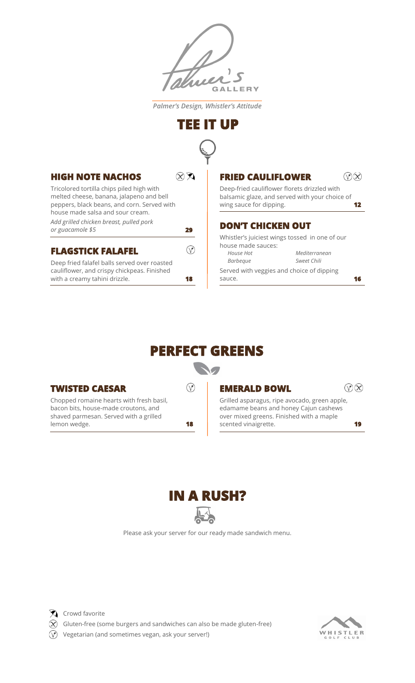

*Palmer's Design, Whistler's Attitude*

## **TEE IT UP**



**29** 

**18** 

### **HIGH NOTE NACHOS**

Tricolored tortilla chips piled high with melted cheese, banana, jalapeno and bell peppers, black beans, and corn. Served with house made salsa and sour cream.

*Add grilled chicken breast, pulled pork or guacamole \$5*

#### **FLAGSTICK FALAFEL**

Deep fried falafel balls served over roasted cauliflower, and crispy chickpeas. Finished with a creamy tahini drizzle.

### **FRIED CAULIFLOWER**

Deep-fried cauliflower florets drizzled with balsamic glaze, and served with your choice of wing sauce for dipping. **12** 

#### **DON'T CHICKEN OUT**

Whistler's juiciest wings tossed in one of our house made sauces: *House Hot Mediterranean*

Served with veggies and choice of dipping sauce. *Barbeque Sweet Chili*

# **PERFECT GREENS**

**SO** 

#### **TWISTED CAESAR**

Chopped romaine hearts with fresh basil, bacon bits, house-made croutons, and shaved parmesan. Served with a grilled lemon wedge.

 $\circledcirc$ 

#### **EMERALD BOWL**

 $\mathcal{D}(\mathcal{R})$ 

 $\mathcal{D}(\mathcal{R})$ 

**16** 

**18 19**  scented vinaigrette. Grilled asparagus, ripe avocado, green apple, edamame beans and honey Cajun cashews over mixed greens. Finished with a maple



Please ask your server for our ready made sandwich menu.



 $\mathbf{\widehat{X}}$  Crowd favorite

 $\widehat{X}$  Gluten-free (some burgers and sandwiches can also be made gluten-free)

 $\sqrt{\gamma}$  Vegetarian (and sometimes vegan, ask your server!)